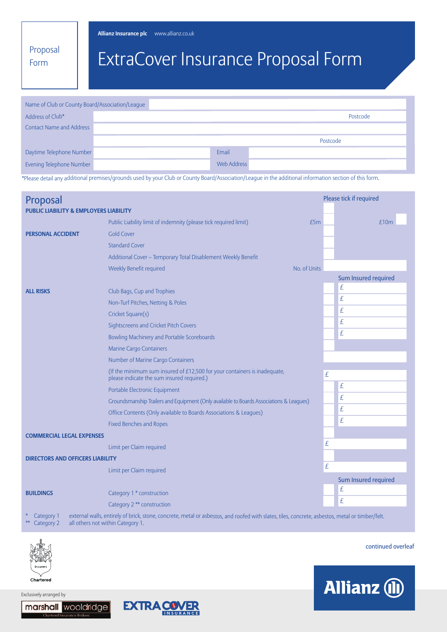**Allianz Insurance plc** www.allianz.co.uk

Proposal Form

# ExtraCover Insurance Proposal Form

| Name of Club or County Board/Association/League |  |             |          |
|-------------------------------------------------|--|-------------|----------|
| Address of Club*                                |  |             | Postcode |
| <b>Contact Name and Address</b>                 |  |             |          |
|                                                 |  |             | Postcode |
| Daytime Telephone Number                        |  | Email       |          |
| Evening Telephone Number                        |  | Web Address |          |

\*Please detail any additional premises/grounds used by your Club or County Board/Association/League in the additional information section of this form.

| Proposal                                          |                                                                                                                                                                                      |              | Please tick if required |                      |  |
|---------------------------------------------------|--------------------------------------------------------------------------------------------------------------------------------------------------------------------------------------|--------------|-------------------------|----------------------|--|
| <b>PUBLIC LIABILITY &amp; EMPLOYERS LIABILITY</b> |                                                                                                                                                                                      |              |                         |                      |  |
|                                                   | Public Liability limit of indemnity (please tick required limit)                                                                                                                     | £5m          |                         | £10m                 |  |
| <b>PERSONAL ACCIDENT</b>                          | Gold Cover                                                                                                                                                                           |              |                         |                      |  |
|                                                   | <b>Standard Cover</b>                                                                                                                                                                |              |                         |                      |  |
|                                                   | Additional Cover - Temporary Total Disablement Weekly Benefit                                                                                                                        |              |                         |                      |  |
|                                                   | Weekly Benefit required                                                                                                                                                              | No. of Units |                         |                      |  |
|                                                   |                                                                                                                                                                                      |              |                         | Sum Insured required |  |
| <b>ALL RISKS</b>                                  | Club Bags, Cup and Trophies                                                                                                                                                          |              |                         | £                    |  |
|                                                   | Non-Turf Pitches, Netting & Poles                                                                                                                                                    |              |                         | £                    |  |
|                                                   | Cricket Square(s)                                                                                                                                                                    |              |                         | £                    |  |
|                                                   | Sightscreens and Cricket Pitch Covers                                                                                                                                                |              |                         | £                    |  |
|                                                   | Bowling Machinery and Portable Scoreboards                                                                                                                                           |              |                         | £                    |  |
|                                                   | <b>Marine Cargo Containers</b>                                                                                                                                                       |              |                         |                      |  |
|                                                   | Number of Marine Cargo Containers                                                                                                                                                    |              |                         |                      |  |
|                                                   | (If the minimum sum insured of $£12,500$ for your containers is inadequate,<br>please indicate the sum insured required.)                                                            |              | £                       |                      |  |
|                                                   | Portable Electronic Equipment                                                                                                                                                        |              |                         | £                    |  |
|                                                   | Groundsmanship Trailers and Equipment (Only available to Boards Associations & Leagues)                                                                                              |              |                         | £                    |  |
|                                                   | Office Contents (Only available to Boards Associations & Leagues)                                                                                                                    |              |                         | £                    |  |
|                                                   | <b>Fixed Benches and Ropes</b>                                                                                                                                                       |              |                         | £                    |  |
| <b>COMMERCIAL LEGAL EXPENSES</b>                  |                                                                                                                                                                                      |              |                         |                      |  |
|                                                   | Limit per Claim required                                                                                                                                                             |              | £                       |                      |  |
| <b>DIRECTORS AND OFFICERS LIABILITY</b>           |                                                                                                                                                                                      |              |                         |                      |  |
|                                                   | Limit per Claim required                                                                                                                                                             |              | £                       |                      |  |
|                                                   |                                                                                                                                                                                      |              |                         | Sum Insured required |  |
| <b>BUILDINGS</b>                                  | Category 1 * construction                                                                                                                                                            |              |                         | £                    |  |
|                                                   | Category 2 ** construction                                                                                                                                                           |              |                         | £                    |  |
| Category 1<br>Category 2                          | external walls, entirely of brick, stone, concrete, metal or asbestos, and roofed with slates, tiles, concrete, asbestos, metal or timber/felt.<br>all others not within Category 1. |              |                         |                      |  |



Exclusively arranged by

continued overleaf





Chartered

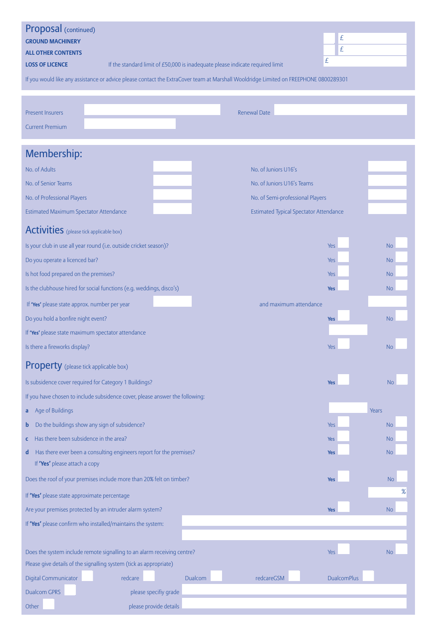| Proposal (continued)                                               |                                                                               |         |                                                                                                                                      |                    |                |
|--------------------------------------------------------------------|-------------------------------------------------------------------------------|---------|--------------------------------------------------------------------------------------------------------------------------------------|--------------------|----------------|
| <b>GROUND MACHINERY</b>                                            |                                                                               |         |                                                                                                                                      | £                  |                |
| <b>ALL OTHER CONTENTS</b>                                          |                                                                               |         |                                                                                                                                      | £                  |                |
| <b>LOSS OF LICENCE</b>                                             | If the standard limit of £50,000 is inadequate please indicate required limit |         |                                                                                                                                      | £                  |                |
|                                                                    |                                                                               |         | If you would like any assistance or advice please contact the ExtraCover team at Marshall Wooldridge Limited on FREEPHONE 0800289301 |                    |                |
|                                                                    |                                                                               |         |                                                                                                                                      |                    |                |
| <b>Present Insurers</b>                                            |                                                                               |         | <b>Renewal Date</b>                                                                                                                  |                    |                |
| <b>Current Premium</b>                                             |                                                                               |         |                                                                                                                                      |                    |                |
|                                                                    |                                                                               |         |                                                                                                                                      |                    |                |
| Membership:                                                        |                                                                               |         |                                                                                                                                      |                    |                |
| No. of Adults                                                      |                                                                               |         | No. of Juniors U16's                                                                                                                 |                    |                |
| No. of Senior Teams                                                |                                                                               |         | No. of Juniors U16's Teams                                                                                                           |                    |                |
| No. of Professional Players                                        |                                                                               |         | No. of Semi-professional Players                                                                                                     |                    |                |
| Estimated Maximum Spectator Attendance                             |                                                                               |         | <b>Estimated Typical Spectator Attendance</b>                                                                                        |                    |                |
| <b>Activities</b> (please tick applicable box)                     |                                                                               |         |                                                                                                                                      |                    |                |
| Is your club in use all year round (i.e. outside cricket season)?  |                                                                               |         |                                                                                                                                      | <b>Yes</b>         | <b>No</b>      |
| Do you operate a licenced bar?                                     |                                                                               |         |                                                                                                                                      | <b>Yes</b>         | <b>No</b>      |
| Is hot food prepared on the premises?                              |                                                                               |         |                                                                                                                                      | Yes                | <b>No</b>      |
|                                                                    | Is the clubhouse hired for social functions (e.g. weddings, disco's)          |         |                                                                                                                                      | <b>Yes</b>         | <b>No</b>      |
| If 'Yes' please state approx. number per year                      |                                                                               |         | and maximum attendance                                                                                                               |                    |                |
| Do you hold a bonfire night event?                                 |                                                                               |         |                                                                                                                                      | <b>Yes</b>         | <b>No</b>      |
| If 'Yes' please state maximum spectator attendance                 |                                                                               |         |                                                                                                                                      |                    |                |
| Is there a fireworks display?                                      |                                                                               |         |                                                                                                                                      | Yes                | <b>No</b>      |
| <b>Property</b> (please tick applicable box)                       |                                                                               |         |                                                                                                                                      |                    |                |
| Is subsidence cover required for Category 1 Buildings?             |                                                                               |         |                                                                                                                                      | <b>Yes</b>         | <b>No</b>      |
|                                                                    | If you have chosen to include subsidence cover, please answer the following:  |         |                                                                                                                                      |                    |                |
| Age of Buildings<br>a                                              |                                                                               |         |                                                                                                                                      |                    | Years          |
| Do the buildings show any sign of subsidence?<br>b                 |                                                                               |         |                                                                                                                                      | Yes                | N <sub>o</sub> |
| Has there been subsidence in the area?<br>c                        |                                                                               |         |                                                                                                                                      | <b>Yes</b>         | <b>No</b>      |
| d<br>If 'Yes' please attach a copy                                 | Has there ever been a consulting engineers report for the premises?           |         |                                                                                                                                      | <b>Yes</b>         | <b>No</b>      |
|                                                                    | Does the roof of your premises include more than 20% felt on timber?          |         |                                                                                                                                      | Yes                | <b>No</b>      |
| If 'Yes' please state approximate percentage                       |                                                                               |         |                                                                                                                                      |                    | %              |
| Are your premises protected by an intruder alarm system?           |                                                                               |         |                                                                                                                                      | <b>Yes</b>         | <b>No</b>      |
| If 'Yes' please confirm who installed/maintains the system:        |                                                                               |         |                                                                                                                                      |                    |                |
|                                                                    |                                                                               |         |                                                                                                                                      |                    |                |
|                                                                    | Does the system include remote signalling to an alarm receiving centre?       |         |                                                                                                                                      | <b>Yes</b>         | <b>No</b>      |
| Please give details of the signalling system (tick as appropriate) |                                                                               |         |                                                                                                                                      |                    |                |
| Digital Communicator                                               | redcare                                                                       | Dualcom | redcareGSM                                                                                                                           | <b>DualcomPlus</b> |                |
| <b>Dualcom GPRS</b>                                                | please specifiy grade                                                         |         |                                                                                                                                      |                    |                |
| Other                                                              | please provide details                                                        |         |                                                                                                                                      |                    |                |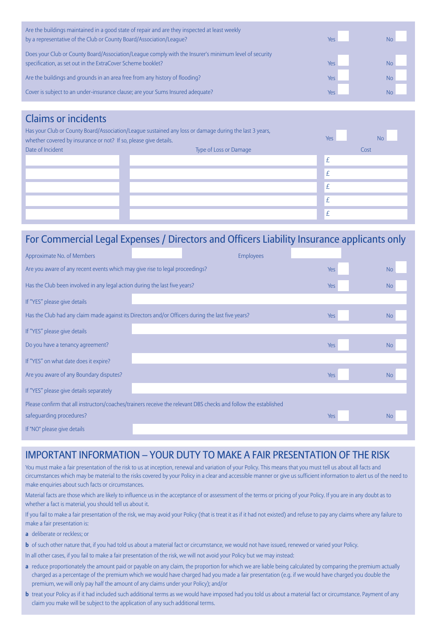| Are the buildings maintained in a good state of repair and are they inspected at least weekly<br>by a representative of the Club or County Board/Association/League? | Yes |           |
|----------------------------------------------------------------------------------------------------------------------------------------------------------------------|-----|-----------|
| Does your Club or County Board/Association/League comply with the Insurer's minimum level of security<br>specification, as set out in the ExtraCover Scheme booklet? | Yes | <b>No</b> |
| Are the buildings and grounds in an area free from any history of flooding?                                                                                          | Yes | <b>No</b> |
| Cover is subject to an under-insurance clause; are your Sums Insured adequate?                                                                                       | Yes | <b>No</b> |

## Claims or incidents

| Has your Club or County Board/Association/League sustained any loss or damage during the last 3 years,<br>whether covered by insurance or not? If so, please give details. |                        |   | <b>No</b> |
|----------------------------------------------------------------------------------------------------------------------------------------------------------------------------|------------------------|---|-----------|
| Date of Incident                                                                                                                                                           | Type of Loss or Damage |   | Cost      |
|                                                                                                                                                                            |                        | £ |           |
|                                                                                                                                                                            |                        | £ |           |
|                                                                                                                                                                            |                        | £ |           |
|                                                                                                                                                                            |                        | £ |           |
|                                                                                                                                                                            |                        | £ |           |

# For Commercial Legal Expenses / Directors and Officers Liability Insurance applicants only

| Approximate No. of Members                                                                                      |  | <b>Employees</b> |            |                |
|-----------------------------------------------------------------------------------------------------------------|--|------------------|------------|----------------|
| Are you aware of any recent events which may give rise to legal proceedings?                                    |  |                  |            | <b>No</b>      |
| Has the Club been involved in any legal action during the last five years?                                      |  |                  | <b>Yes</b> | N <sub>0</sub> |
| If "YES" please give details                                                                                    |  |                  |            |                |
| Has the Club had any claim made against its Directors and/or Officers during the last five years?               |  |                  | Yes        | <b>No</b>      |
| If "YES" please give details                                                                                    |  |                  |            |                |
| Do you have a tenancy agreement?                                                                                |  |                  | Yes        | <b>No</b>      |
| If "YES" on what date does it expire?                                                                           |  |                  |            |                |
| Are you aware of any Boundary disputes?                                                                         |  |                  | Yes        | N <sub>0</sub> |
| If "YES" please give details separately                                                                         |  |                  |            |                |
| Please confirm that all instructors/coaches/trainers receive the relevant DBS checks and follow the established |  |                  |            |                |
| safequarding procedures?                                                                                        |  |                  | <b>Yes</b> | <b>No</b>      |
| If "NO" please give details                                                                                     |  |                  |            |                |

### IMPORTANT INFORMATION – YOUR DUTY TO MAKE A FAIR PRESENTATION OF THE RISK

You must make a fair presentation of the risk to us at inception, renewal and variation of your Policy. This means that you must tell us about all facts and circumstances which may be material to the risks covered by your Policy in a clear and accessible manner or give us sufficient information to alert us of the need to make enquiries about such facts or circumstances.

Material facts are those which are likely to influence us in the acceptance of or assessment of the terms or pricing of your Policy. If you are in any doubt as to whether a fact is material, you should tell us about it.

If you fail to make a fair presentation of the risk, we may avoid your Policy (that is treat it as if it had not existed) and refuse to pay any claims where any failure to make a fair presentation is:

- **a** deliberate or reckless; or
- **b** of such other nature that, if you had told us about a material fact or circumstance, we would not have issued, renewed or varied your Policy.
- In all other cases, if you fail to make a fair presentation of the risk, we will not avoid your Policy but we may instead:
- **a** reduce proportionately the amount paid or payable on any claim, the proportion for which we are liable being calculated by comparing the premium actually charged as a percentage of the premium which we would have charged had you made a fair presentation (e.g. if we would have charged you double the premium, we will only pay half the amount of any claims under your Policy); and/or
- **b** treat your Policy as if it had included such additional terms as we would have imposed had you told us about a material fact or circumstance. Payment of any claim you make will be subject to the application of any such additional terms.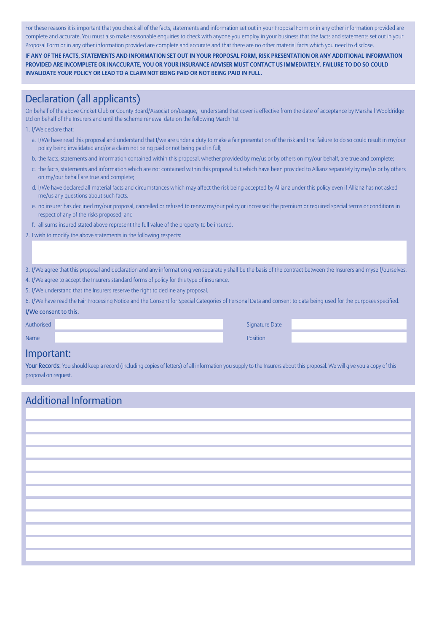For these reasons it is important that you check all of the facts, statements and information set out in your Proposal Form or in any other information provided are complete and accurate. You must also make reasonable enquiries to check with anyone you employ in your business that the facts and statements set out in your Proposal Form or in any other information provided are complete and accurate and that there are no other material facts which you need to disclose.

IF ANY OF THE FACTS. STATEMENTS AND INFORMATION SET OUT IN YOUR PROPOSAL FORM. RISK PRESENTATION OR ANY ADDITIONAL INFORMATION PROVIDED ARE INCOMPLETE OR INACCURATE, YOU OR YOUR INSURANCE ADVISER MUST CONTACT US IMMEDIATELY. FAILURE TO DO SO COULD **INVALIDATE YOUR POLICY OR LEAD TO A CLAIM NOT BEING PAID OR NOT BEING PAID IN FULL.**

# Declaration (all applicants)

On behalf of the above Cricket Club or County Board/Association/League, I understand that cover is effective from the date of acceptance by Marshall Wooldridge Ltd on behalf of the Insurers and until the scheme renewal date on the following March 1st

#### 1. I/We declare that:

- a. I/We have read this proposal and understand that I/we are under a duty to make a fair presentation of the risk and that failure to do so could result in my/our policy being invalidated and/or a claim not being paid or not being paid in full;
- b. the facts, statements and information contained within this proposal, whether provided by me/us or by others on my/our behalf, are true and complete;
- c. the facts, statements and information which are not contained within this proposal but which have been provided to Allianz separately by me/us or by others on my/our behalf are true and complete;
- d. I/We have declared all material facts and circumstances which may affect the risk being accepted by Allianz under this policy even if Allianz has not asked me/us any questions about such facts.
- e. no insurer has declined my/our proposal, cancelled or refused to renew my/our policy or increased the premium or required special terms or conditions in respect of any of the risks proposed; and
- f. all sums insured stated above represent the full value of the property to be insured.

2. I wish to modify the above statements in the following respects:

- 3. I/We agree that this proposal and declaration and any information given separately shall be the basis of the contract between the Insurers and myself/ourselves.
- 4. I/We agree to accept the Insurers standard forms of policy for this type of insurance.
- 5. I/We understand that the Insurers reserve the right to decline any proposal.
- 6. I/We have read the Fair Processing Notice and the Consent for Special Categories of Personal Data and consent to data being used for the purposes specified.

### I/We consent to this.

Authorised Signature Date of the Signature Date of the Signature Date of the Signature Date

### Name Position and the contract of the contract of the contract of the contract of the contract of the contract of the contract of the contract of the contract of the contract of the contract of the contract of the contract

### Important:

Your Records: You should keep a record (including copies of letters) of all information you supply to the Insurers about this proposal. We will give you a copy of this proposal on request.

## Additional Information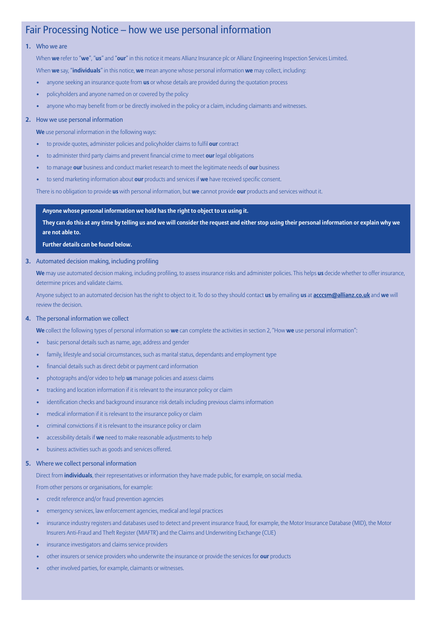### Fair Processing Notice – how we use personal information

#### **1.** Who we are

When **we** refer to "**we**", "**us**" and "**our**" in this notice it means Allianz Insurance plc or Allianz Engineering Inspection Services Limited.

When **we** say, "**individuals**" in this notice, **we** mean anyone whose personal information **we** may collect, including:

- anyone seeking an insurance quote from **us** or whose details are provided during the quotation process
- policyholders and anyone named on or covered by the policy
- anyone who may benefit from or be directly involved in the policy or a claim, including claimants and witnesses.

#### **2.** How we use personal information

**We** use personal information in the following ways:

- to provide quotes, administer policies and policyholder claims to fulfil **our** contract
- to administer third party claims and prevent financial crime to meet **our** legal obligations
- to manage **our** business and conduct market research to meet the legitimate needs of **our** business
- to send marketing information about **our** products and services if **we** have received specific consent.

There is no obligation to provide **us** with personal information, but **we** cannot provide **our** products and services without it.

#### **Anyone whose personal information we hold has the right to object to us using it.**

They can do this at any time by telling us and we will consider the request and either stop using their personal information or explain why we **are not able to.**

 **Further details can be found below.**

**3.** Automated decision making, including profiling

 **We** may use automated decision making, including profiling, to assess insurance risks and administer policies. This helps **us** decide whether to offer insurance, determine prices and validate claims.

 Anyone subject to an automated decision has the right to object to it. To do so they should contact **us** by emailing **us** at **acccsm@allianz.co.uk** and **we** will review the decision.

#### **4.** The personal information we collect

**We** collect the following types of personal information so **we** can complete the activities in section 2, "How **we** use personal information":

- basic personal details such as name, age, address and gender
- family, lifestyle and social circumstances, such as marital status, dependants and employment type
- financial details such as direct debit or payment card information
- photographs and/or video to help **us** manage policies and assess claims
- tracking and location information if it is relevant to the insurance policy or claim
- identification checks and background insurance risk details including previous claims information
- medical information if it is relevant to the insurance policy or claim
- criminal convictions if it is relevant to the insurance policy or claim
- accessibility details if **we** need to make reasonable adjustments to help
- business activities such as goods and services offered.

#### **5.** Where we collect personal information

Direct from **individuals**, their representatives or information they have made public, for example, on social media.

From other persons or organisations, for example:

- credit reference and/or fraud prevention agencies
- emergency services, law enforcement agencies, medical and legal practices
- insurance industry registers and databases used to detect and prevent insurance fraud, for example, the Motor Insurance Database (MID), the Motor Insurers Anti-Fraud and Theft Register (MIAFTR) and the Claims and Underwriting Exchange (CUE)
- insurance investigators and claims service providers
- other insurers or service providers who underwrite the insurance or provide the services for **our** products
- other involved parties, for example, claimants or witnesses.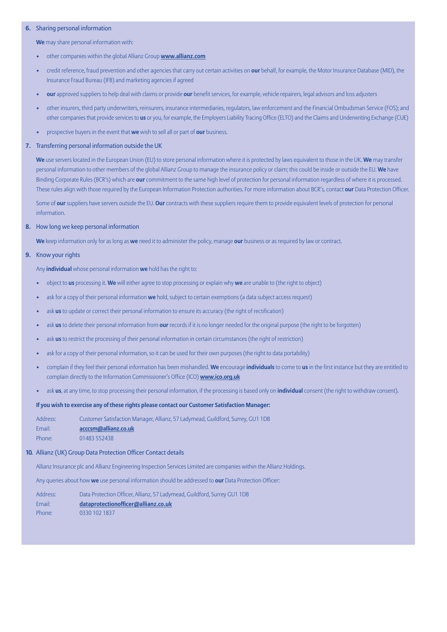#### **6.** Sharing personal information

**We** may share personal information with:

- other companies within the global Allianz Group **www.allianz.com**
- credit reference, fraud prevention and other agencies that carry out certain activities on **our** behalf, for example, the Motor Insurance Database (MID), the Insurance Fraud Bureau (IFB) and marketing agencies if agreed
- **our** approved suppliers to help deal with claims or provide **our** benefit services, for example, vehicle repairers, legal advisors and loss adjusters
- other insurers, third party underwriters, reinsurers, insurance intermediaries, regulators, law enforcement and the Financial Ombudsman Service (FOS); and other companiesthat provide servicesto **us** or you, for example, the Employers Liability Tracing Office (ELTO) and the Claims and Underwriting Exchange (CUE)
- prospective buyers in the event that **we** wish to sell all or part of **our** business.

#### **7.** Transferring personal information outside the UK

 **We** use servers located in the European Union (EU) to store personal information where it is protected by laws equivalent to those in the UK. **We** may transfer personal information to other members of the global Allianz Group to manage the insurance policy or claim; this could be inside or outside the EU. **We** have Binding Corporate Rules (BCR's) which are **our** commitment to the same high level of protection for personal information regardless of where it is processed. These rules align with those required by the European Information Protection authorities. For more information about BCR's, contact **our** Data Protection Officer.

 Some of **our** suppliers have servers outside the EU. **Our** contracts with these suppliers require them to provide equivalent levels of protection for personal information.

#### **8.** How long we keep personal information

**We** keep information only for as long as **we** need it to administer the policy, manage **our** business or as required by law or contract.

#### **9.** Know your rights

Any **individual** whose personal information **we** hold has the right to:

- object to **us** processing it. **We** will either agree to stop processing or explain why **we** are unable to (the right to object)
- ask for a copy of their personal information **we** hold, subject to certain exemptions (a data subject access request)
- ask **us** to update or correct their personal information to ensure its accuracy (the right of rectification)
- ask **us** to delete their personal information from **our** records if it is no longer needed for the original purpose (the right to be forgotten)
- ask **us** to restrict the processing of their personal information in certain circumstances (the right of restriction)
- ask for a copy of their personal information, so it can be used for their own purposes (the right to data portability)
- complain if they feel their personal information has been mishandled. **We** encourage **individuals** to come to **us** in the first instance but they are entitled to complain directly to the Information Commissioner's Office (ICO) **www.ico.org.uk**
- ask **us**, at any time, to stop processing their personal information, if the processing is based only on **individual** consent (the right to withdraw consent).

#### **If you wish to exercise any of these rights please contact our Customer Satisfaction Manager:**

| Address: | Customer Satisfaction Manager, Allianz, 57 Ladymead, Guildford, Surrey, GU1 1DB |
|----------|---------------------------------------------------------------------------------|
| Email:   | acccsm@allianz.co.uk                                                            |
| Phone:   | 01483 552438                                                                    |

#### **10.** Allianz (UK) Group Data Protection Officer Contact details

Allianz Insurance plc and Allianz Engineering Inspection Services Limited are companies within the Allianz Holdings.

Any queries about how **we** use personal information should be addressed to **our** Data Protection Officer:

| Address: | Data Protection Officer, Allianz, 57 Ladymead, Guildford, Surrey GU1 1DB |
|----------|--------------------------------------------------------------------------|
| Email:   | dataprotectionofficer@allianz.co.uk                                      |
| Phone:   | 0330 102 1837                                                            |